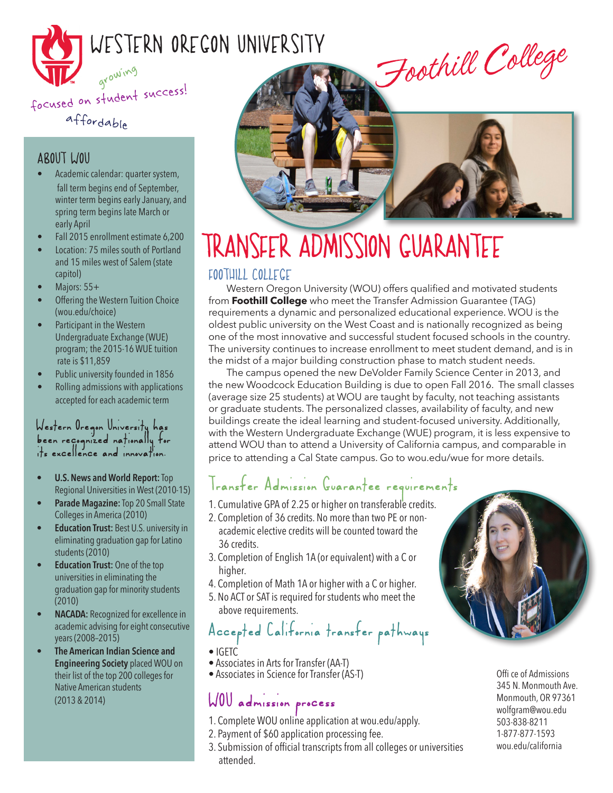

### affordable

#### ABOUT WOU

- Academic calendar: quarter system, fall term begins end of September, winter term begins early January, and spring term begins late March or early April
- Fall 2015 enrollment estimate 6,200
- Location: 75 miles south of Portland and 15 miles west of Salem (state capitol)
- Majors: 55+
- Offering the Western Tuition Choice (wou.edu/choice)
- Participant in the Western Undergraduate Exchange (WUE) program; the 2015-16 WUE tuition rate is \$11,859
- Public university founded in 1856
- Rolling admissions with applications accepted for each academic term

#### Western Oregon University has been recognized nationally for its excellence and innovation.

- **• U.S.News and World Report:**Top Regional Universities in West (2010-15)
- **• Parade Magazine:**Top 20 Small State Collegesin America (2010)
- **Education Trust:** Best U.S. university in eliminating graduation gap for Latino students(2010)
- **• Education Trust:** One of the top universities in eliminating the graduation gap for minority students (2010)
- **NACADA:** Recognized for excellence in academic advising for eight consecutive years(2008–2015)
- **• The American Indian Science and Engineering Society** placed WOU on their list of the top 200 colleges for Native American students (2013 & 2014)



# TRANSFER ADMISSION GUARANTEE

#### FOOTHILL COLLEGE

Western Oregon University (WOU) offers qualified and motivated students from **Foothill College** who meet the Transfer Admission Guarantee (TAG) requirements a dynamic and personalized educational experience. WOU is the oldest public university on the West Coast and is nationally recognized as being one of the most innovative and successful student focused schools in the country. The university continues to increase enrollment to meet student demand, and is in the midst of a major building construction phase to match student needs.

The campus opened the new DeVolder Family Science Center in 2013, and the new Woodcock Education Building is due to open Fall 2016. The small classes (average size 25 students) at WOU are taught by faculty, not teaching assistants or graduate students. The personalized classes, availability of faculty, and new buildings create the ideal learning and student-focused university. Additionally, with the Western Undergraduate Exchange (WUE) program, it is less expensive to attend WOU than to attend a University of California campus, and comparable in price to attending a Cal State campus. Go to wou.edu/wue for more details.

### Transfer Admission Guarantee requirements

- 1. Cumulative GPA of 2.25 or higher on transferable credits.
- 2. Completion of 36 credits. No more than two PE or non academic elective credits will be counted toward the 36 credits.
- 3. Completion of English 1A (or equivalent) with a C or higher.
- 4. Completion of Math 1A or higher with a C or higher.
- 5. No ACT or SATis required for students who meet the above requirements.

## Accepted California transfer pathways

- 
- IGETC<br>• Associates in Arts for Transfer (AA-T)
- Associates in Science for Transfer (AS-T)

## WOU admission process

- 1. Complete WOU online application at wou.edu/apply.
- 2. Payment of \$60 application processing fee.
- 3. Submission of official transcripts from all colleges or universities attended.



Offi ce of Admissions 345 N. Monmouth Ave. Monmouth, OR 97361 wolfgram@wou.edu 503-838-8211 1-877-877-1593 wou.edu/california